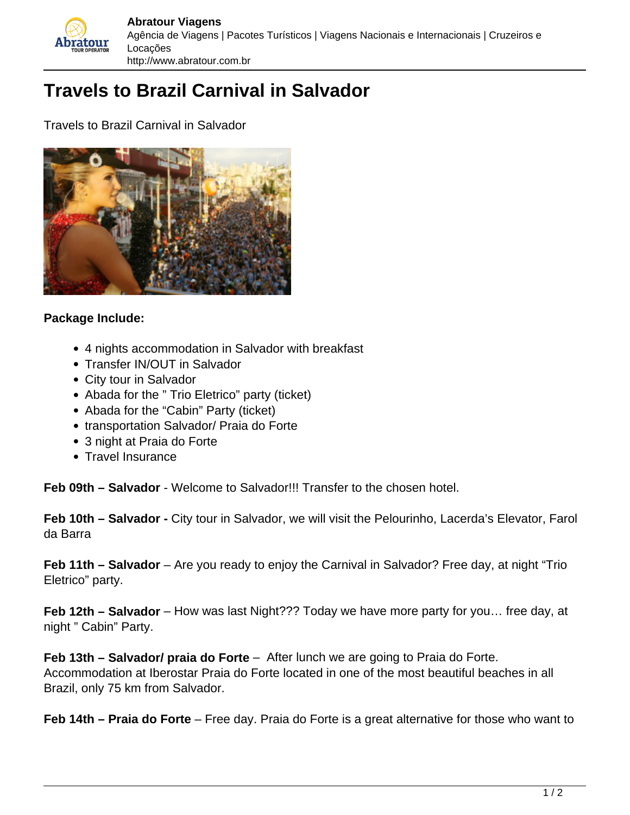

## **Travels to Brazil Carnival in Salvador**

Travels to Brazil Carnival in Salvador



## **Package Include:**

- 4 nights accommodation in Salvador with breakfast
- Transfer IN/OUT in Salvador
- City tour in Salvador
- Abada for the " Trio Eletrico" party (ticket)
- Abada for the "Cabin" Party (ticket)
- transportation Salvador/ Praia do Forte
- 3 night at Praia do Forte
- Travel Insurance

**Feb 09th – Salvador** - Welcome to Salvador!!! Transfer to the chosen hotel.

**Feb 10th – Salvador -** City tour in Salvador, we will visit the Pelourinho, Lacerda's Elevator, Farol da Barra

**Feb 11th – Salvador** – Are you ready to enjoy the Carnival in Salvador? Free day, at night "Trio Eletrico" party.

**Feb 12th – Salvador** – How was last Night??? Today we have more party for you… free day, at night " Cabin" Party.

**Feb 13th – Salvador/ praia do Forte** – After lunch we are going to Praia do Forte. Accommodation at Iberostar Praia do Forte located in one of the most beautiful beaches in all Brazil, only 75 km from Salvador.

**Feb 14th – Praia do Forte** – Free day. Praia do Forte is a great alternative for those who want to